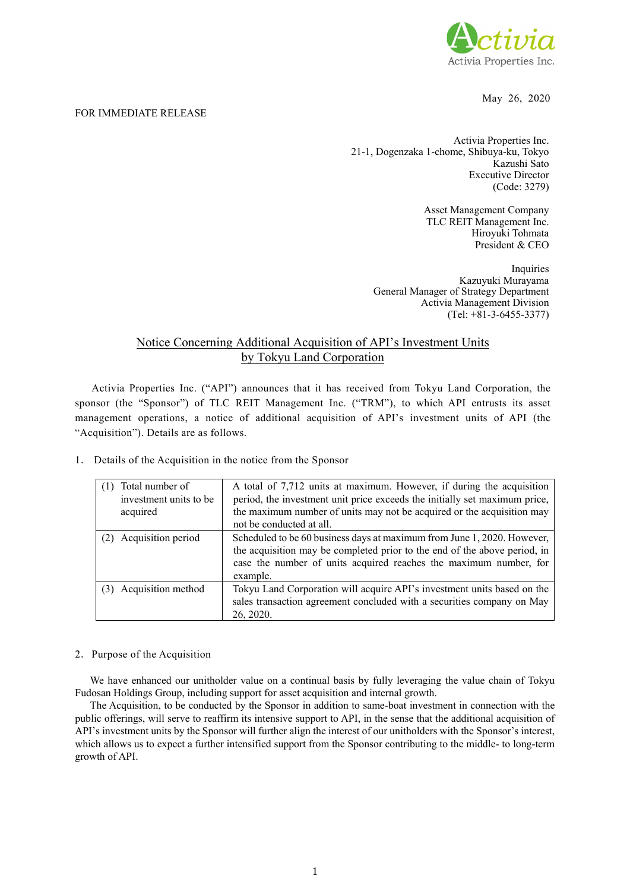

May 26, 2020

## FOR IMMEDIATE RELEASE

Activia Properties Inc. 21-1, Dogenzaka 1-chome, Shibuya-ku, Tokyo Kazushi Sato Executive Director (Code: 3279)

> Asset Management Company TLC REIT Management Inc. Hiroyuki Tohmata President & CEO

Inquiries Kazuyuki Murayama General Manager of Strategy Department Activia Management Division (Tel: +81-3-6455-3377)

## Notice Concerning Additional Acquisition of API's Investment Units by Tokyu Land Corporation

Activia Properties Inc. ("API") announces that it has received from Tokyu Land Corporation, the sponsor (the "Sponsor") of TLC REIT Management Inc. ("TRM"), to which API entrusts its asset management operations, a notice of additional acquisition of API's investment units of API (the "Acquisition"). Details are as follows.

| Total number of<br>investment units to be<br>acquired | A total of 7,712 units at maximum. However, if during the acquisition<br>period, the investment unit price exceeds the initially set maximum price,<br>the maximum number of units may not be acquired or the acquisition may<br>not be conducted at all. |
|-------------------------------------------------------|-----------------------------------------------------------------------------------------------------------------------------------------------------------------------------------------------------------------------------------------------------------|
| Acquisition period                                    | Scheduled to be 60 business days at maximum from June 1, 2020. However,<br>the acquisition may be completed prior to the end of the above period, in<br>case the number of units acquired reaches the maximum number, for<br>example.                     |
| Acquisition method                                    | Tokyu Land Corporation will acquire API's investment units based on the<br>sales transaction agreement concluded with a securities company on May<br>26, 2020.                                                                                            |

1. Details of the Acquisition in the notice from the Sponsor

## 2.Purpose of the Acquisition

We have enhanced our unitholder value on a continual basis by fully leveraging the value chain of Tokyu Fudosan Holdings Group, including support for asset acquisition and internal growth.

The Acquisition, to be conducted by the Sponsor in addition to same-boat investment in connection with the public offerings, will serve to reaffirm its intensive support to API, in the sense that the additional acquisition of API's investment units by the Sponsor will further align the interest of our unitholders with the Sponsor's interest, which allows us to expect a further intensified support from the Sponsor contributing to the middle- to long-term growth of API.